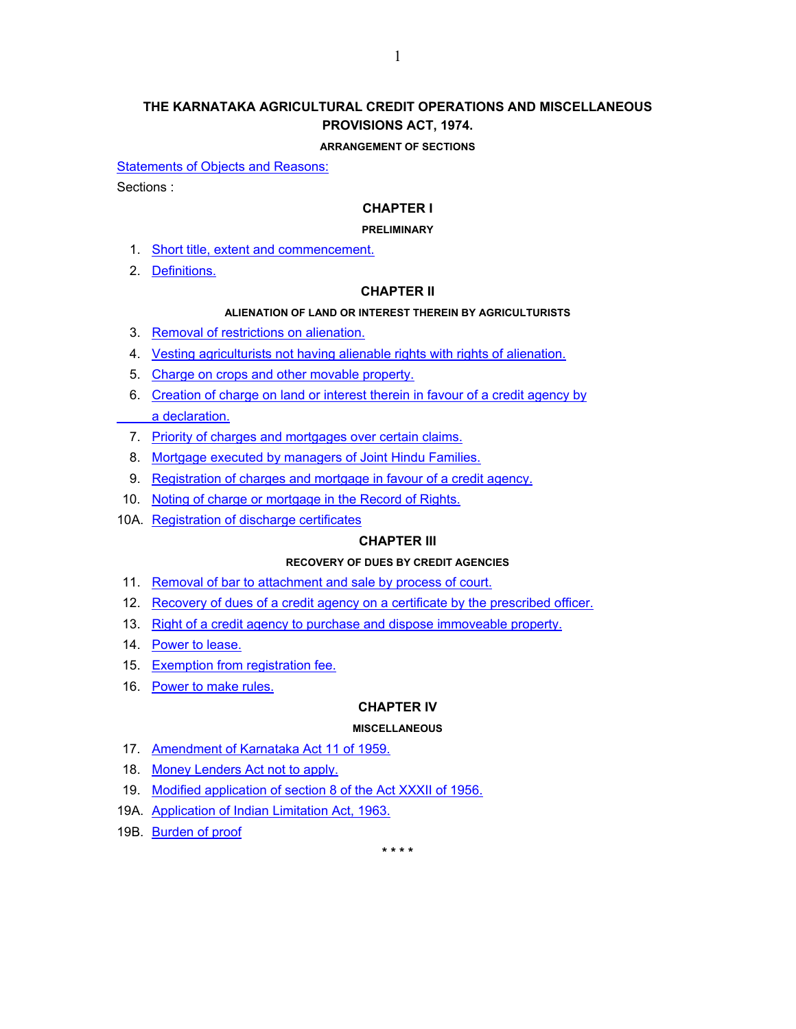# **THE KARNATAKA AGRICULTURAL CREDIT OPERATIONS AND MISCELLANEOUS PROVISIONS ACT, 1974.**

#### **ARRANGEMENT OF SECTIONS**

[Statements of Objects and Reasons:](#page-1-0)

Sections :

### **CHAPTER I**

#### **PRELIMINARY**

- 1. [Short title, extent and commencement.](#page-4-0)
- 2. [Definitions.](#page-4-0)

#### **CHAPTER II**

#### **ALIENATION OF LAND OR INTEREST THEREIN BY AGRICULTURISTS**

- 3. [Removal of restrictions on alienation.](#page-5-0)
- 4. [Vesting agriculturists not having alienable rights with rights of alienation.](#page-5-0)
- 5. [Charge on crops and other movable property.](#page-5-0)
- 6. [Creation of charge on land or interest therein in favour of a credit agency by](#page-6-0)  a declaration.
- 7. [Priority of charges and mortgages over certain claims.](#page-6-0)
- 8. [Mortgage executed by managers of Joint Hindu Families.](#page-7-0)
- 9. [Registration of charges and mortgage in favour of a credit agency.](#page-7-0)
- 10. [Noting of charge or mortgage in the Record of Rights.](#page-8-0)
- 10A. [Registration of discharge certificates](#page-8-0)

#### **CHAPTER III**

#### **RECOVERY OF DUES BY CREDIT AGENCIES**

- 11. [Removal of bar to attachment and sale by process of court.](#page-8-0)
- 12. [Recovery of dues of a credit agency on a certificate by the prescribed officer.](#page-8-0)
- 13. [Right of a credit agency to purchase and dispose immoveable property.](#page-9-0)
- 14. [Power to lease.](#page-9-0)
- 15. [Exemption from registration fee.](#page-9-0)
- 16. [Power to make rules.](#page-9-0)

#### **CHAPTER IV**

#### **MISCELLANEOUS**

- 17. [Amendment of Karnataka Act 11 of 1959.](#page-10-0)
- 18. [Money Lenders Act not to apply.](#page-11-0)
- 19. [Modified application of section 8 of the Act XXXII of 1956.](#page-11-0)
- 19A. [Application of Indian Limitation Act, 1963.](#page-11-0)
- 19B. [Burden of proof](#page-11-0)

**\* \* \* \***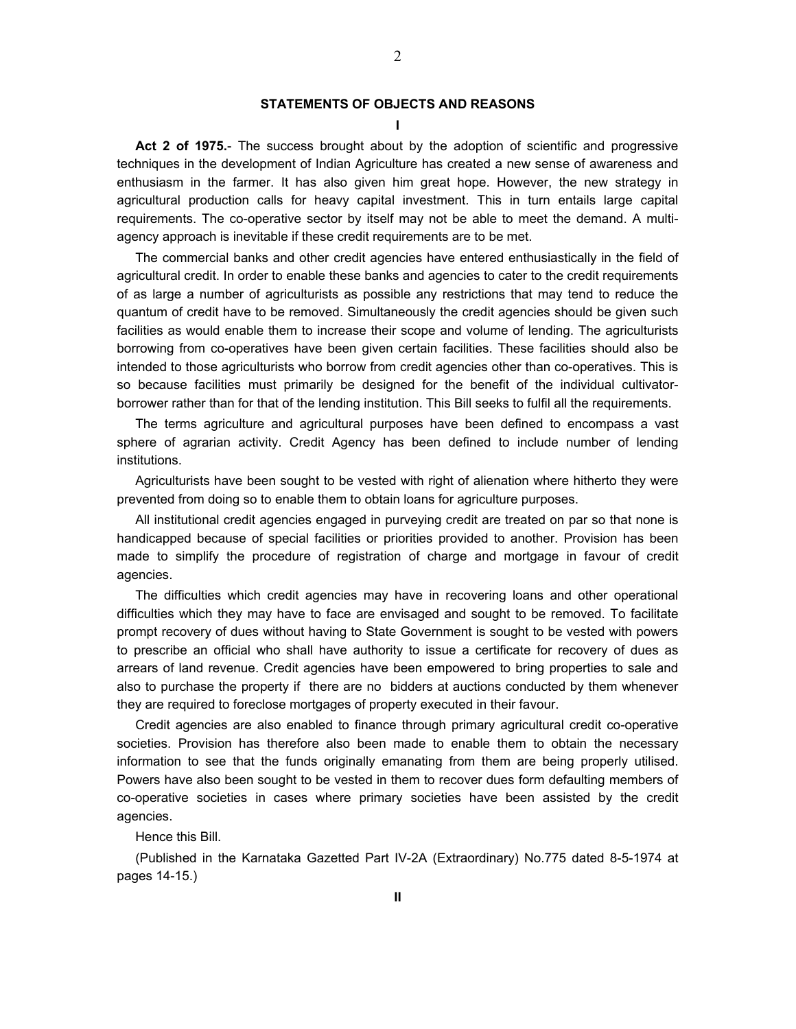#### **STATEMENTS OF OBJECTS AND REASONS**

2

**I** 

<span id="page-1-0"></span> **Act 2 of 1975.**- The success brought about by the adoption of scientific and progressive techniques in the development of Indian Agriculture has created a new sense of awareness and enthusiasm in the farmer. It has also given him great hope. However, the new strategy in agricultural production calls for heavy capital investment. This in turn entails large capital requirements. The co-operative sector by itself may not be able to meet the demand. A multiagency approach is inevitable if these credit requirements are to be met.

 The commercial banks and other credit agencies have entered enthusiastically in the field of agricultural credit. In order to enable these banks and agencies to cater to the credit requirements of as large a number of agriculturists as possible any restrictions that may tend to reduce the quantum of credit have to be removed. Simultaneously the credit agencies should be given such facilities as would enable them to increase their scope and volume of lending. The agriculturists borrowing from co-operatives have been given certain facilities. These facilities should also be intended to those agriculturists who borrow from credit agencies other than co-operatives. This is so because facilities must primarily be designed for the benefit of the individual cultivatorborrower rather than for that of the lending institution. This Bill seeks to fulfil all the requirements.

 The terms agriculture and agricultural purposes have been defined to encompass a vast sphere of agrarian activity. Credit Agency has been defined to include number of lending institutions.

 Agriculturists have been sought to be vested with right of alienation where hitherto they were prevented from doing so to enable them to obtain loans for agriculture purposes.

 All institutional credit agencies engaged in purveying credit are treated on par so that none is handicapped because of special facilities or priorities provided to another. Provision has been made to simplify the procedure of registration of charge and mortgage in favour of credit agencies.

 The difficulties which credit agencies may have in recovering loans and other operational difficulties which they may have to face are envisaged and sought to be removed. To facilitate prompt recovery of dues without having to State Government is sought to be vested with powers to prescribe an official who shall have authority to issue a certificate for recovery of dues as arrears of land revenue. Credit agencies have been empowered to bring properties to sale and also to purchase the property if there are no bidders at auctions conducted by them whenever they are required to foreclose mortgages of property executed in their favour.

 Credit agencies are also enabled to finance through primary agricultural credit co-operative societies. Provision has therefore also been made to enable them to obtain the necessary information to see that the funds originally emanating from them are being properly utilised. Powers have also been sought to be vested in them to recover dues form defaulting members of co-operative societies in cases where primary societies have been assisted by the credit agencies.

Hence this Bill.

 (Published in the Karnataka Gazetted Part IV-2A (Extraordinary) No.775 dated 8-5-1974 at pages 14-15.)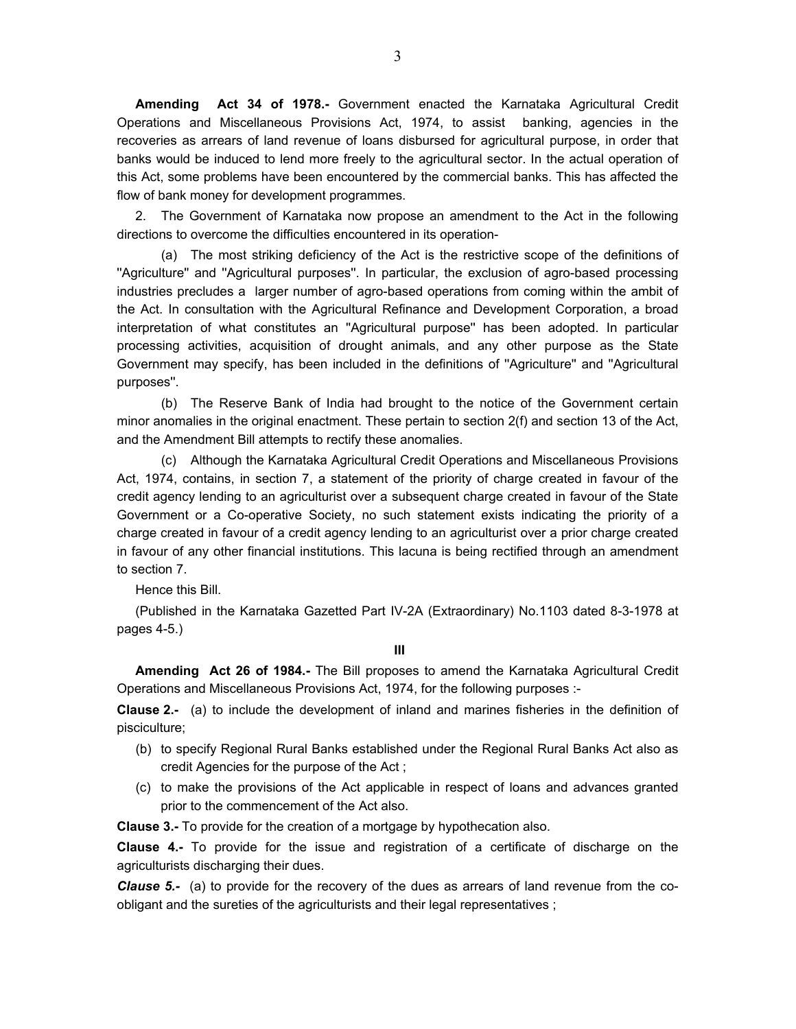**Amending Act 34 of 1978.-** Government enacted the Karnataka Agricultural Credit Operations and Miscellaneous Provisions Act, 1974, to assist banking, agencies in the recoveries as arrears of land revenue of loans disbursed for agricultural purpose, in order that banks would be induced to lend more freely to the agricultural sector. In the actual operation of this Act, some problems have been encountered by the commercial banks. This has affected the flow of bank money for development programmes.

 2. The Government of Karnataka now propose an amendment to the Act in the following directions to overcome the difficulties encountered in its operation-

 (a) The most striking deficiency of the Act is the restrictive scope of the definitions of ''Agriculture'' and ''Agricultural purposes''. In particular, the exclusion of agro-based processing industries precludes a larger number of agro-based operations from coming within the ambit of the Act. In consultation with the Agricultural Refinance and Development Corporation, a broad interpretation of what constitutes an ''Agricultural purpose'' has been adopted. In particular processing activities, acquisition of drought animals, and any other purpose as the State Government may specify, has been included in the definitions of ''Agriculture'' and ''Agricultural purposes''.

 (b) The Reserve Bank of India had brought to the notice of the Government certain minor anomalies in the original enactment. These pertain to section 2(f) and section 13 of the Act, and the Amendment Bill attempts to rectify these anomalies.

 (c) Although the Karnataka Agricultural Credit Operations and Miscellaneous Provisions Act, 1974, contains, in section 7, a statement of the priority of charge created in favour of the credit agency lending to an agriculturist over a subsequent charge created in favour of the State Government or a Co-operative Society, no such statement exists indicating the priority of a charge created in favour of a credit agency lending to an agriculturist over a prior charge created in favour of any other financial institutions. This lacuna is being rectified through an amendment to section 7.

Hence this Bill.

 (Published in the Karnataka Gazetted Part IV-2A (Extraordinary) No.1103 dated 8-3-1978 at pages 4-5.)

 **III** 

 **Amending Act 26 of 1984.-** The Bill proposes to amend the Karnataka Agricultural Credit Operations and Miscellaneous Provisions Act, 1974, for the following purposes :-

**Clause 2.-** (a) to include the development of inland and marines fisheries in the definition of pisciculture;

- (b) to specify Regional Rural Banks established under the Regional Rural Banks Act also as credit Agencies for the purpose of the Act ;
- (c) to make the provisions of the Act applicable in respect of loans and advances granted prior to the commencement of the Act also.

**Clause 3.-** To provide for the creation of a mortgage by hypothecation also.

**Clause 4.-** To provide for the issue and registration of a certificate of discharge on the agriculturists discharging their dues.

*Clause 5.-* (a) to provide for the recovery of the dues as arrears of land revenue from the coobligant and the sureties of the agriculturists and their legal representatives ;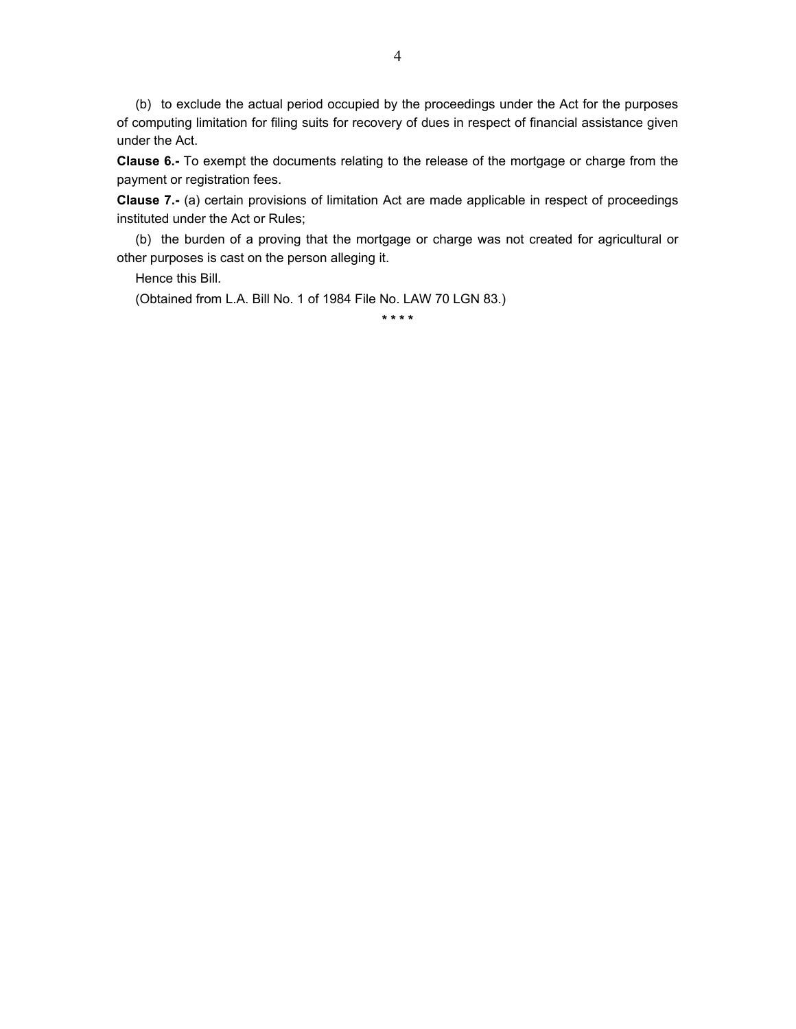(b) to exclude the actual period occupied by the proceedings under the Act for the purposes of computing limitation for filing suits for recovery of dues in respect of financial assistance given under the Act.

**Clause 6.-** To exempt the documents relating to the release of the mortgage or charge from the payment or registration fees.

**Clause 7.-** (a) certain provisions of limitation Act are made applicable in respect of proceedings instituted under the Act or Rules;

 (b) the burden of a proving that the mortgage or charge was not created for agricultural or other purposes is cast on the person alleging it.

Hence this Bill.

(Obtained from L.A. Bill No. 1 of 1984 File No. LAW 70 LGN 83.)

**\* \* \* \***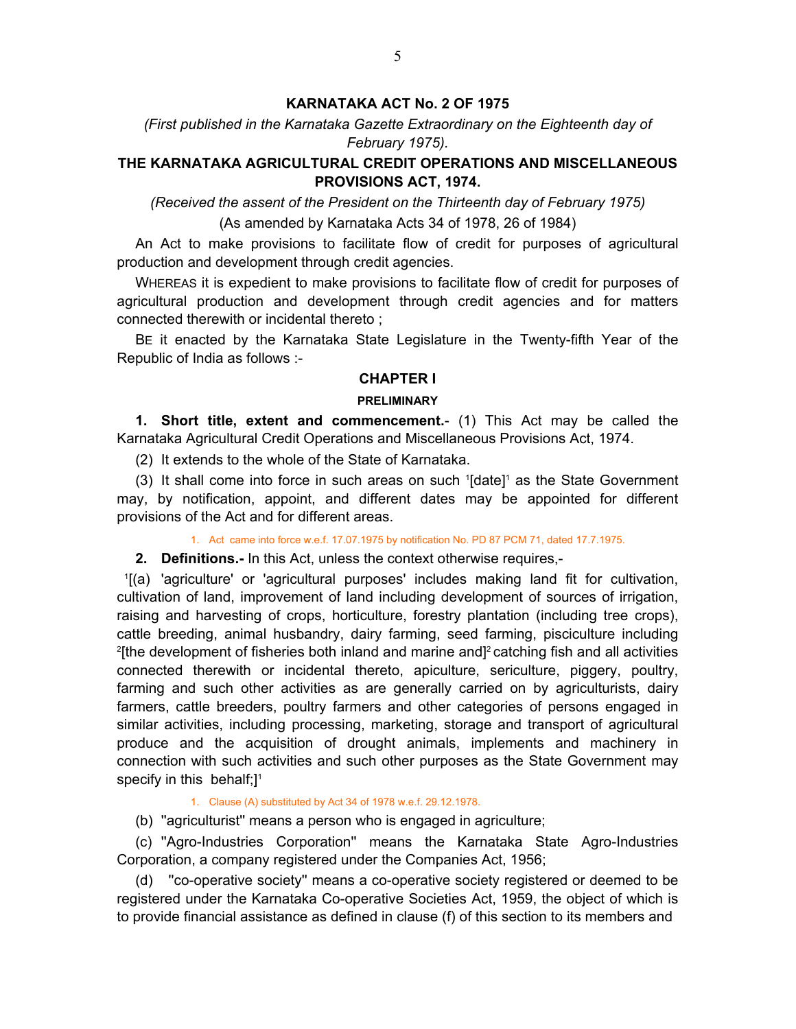# **KARNATAKA ACT No. 2 OF 1975**

# <span id="page-4-0"></span>*(First published in the Karnataka Gazette Extraordinary on the Eighteenth day of February 1975).*

# **THE KARNATAKA AGRICULTURAL CREDIT OPERATIONS AND MISCELLANEOUS PROVISIONS ACT, 1974.**

*(Received the assent of the President on the Thirteenth day of February 1975)*

(As amended by Karnataka Acts 34 of 1978, 26 of 1984)

An Act to make provisions to facilitate flow of credit for purposes of agricultural production and development through credit agencies.

 WHEREAS it is expedient to make provisions to facilitate flow of credit for purposes of agricultural production and development through credit agencies and for matters connected therewith or incidental thereto ;

 BE it enacted by the Karnataka State Legislature in the Twenty-fifth Year of the Republic of India as follows :-

# **CHAPTER I**

## **PRELIMINARY**

 **1. Short title, extent and commencement.**- (1) This Act may be called the Karnataka Agricultural Credit Operations and Miscellaneous Provisions Act, 1974.

(2) It extends to the whole of the State of Karnataka.

 $(3)$  It shall come into force in such areas on such  $[0]$  as the State Government may, by notification, appoint, and different dates may be appointed for different provisions of the Act and for different areas.

1. Act came into force w.e.f. 17.07.1975 by notification No. PD 87 PCM 71, dated 17.7.1975.

**2. Definitions.-** In this Act, unless the context otherwise requires,-

1 [(a) 'agriculture' or 'agricultural purposes' includes making land fit for cultivation, cultivation of land, improvement of land including development of sources of irrigation, raising and harvesting of crops, horticulture, forestry plantation (including tree crops), cattle breeding, animal husbandry, dairy farming, seed farming, pisciculture including 2 [the development of fisheries both inland and marine and]2 catching fish and all activities connected therewith or incidental thereto, apiculture, sericulture, piggery, poultry, farming and such other activities as are generally carried on by agriculturists, dairy farmers, cattle breeders, poultry farmers and other categories of persons engaged in similar activities, including processing, marketing, storage and transport of agricultural produce and the acquisition of drought animals, implements and machinery in connection with such activities and such other purposes as the State Government may specify in this behalf; $]$ <sup>1</sup>

#### 1. Clause (A) substituted by Act 34 of 1978 w.e.f. 29.12.1978.

(b) ''agriculturist'' means a person who is engaged in agriculture;

 (c) ''Agro-Industries Corporation'' means the Karnataka State Agro-Industries Corporation, a company registered under the Companies Act, 1956;

 (d) ''co-operative society'' means a co-operative society registered or deemed to be registered under the Karnataka Co-operative Societies Act, 1959, the object of which is to provide financial assistance as defined in clause (f) of this section to its members and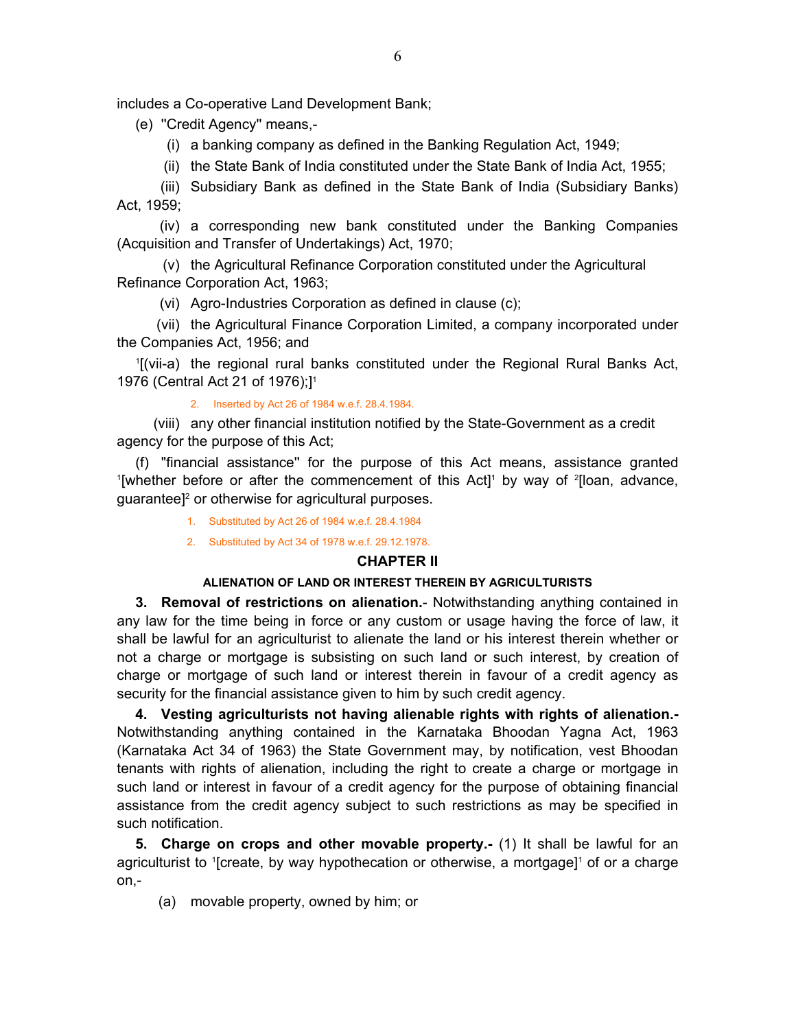<span id="page-5-0"></span>includes a Co-operative Land Development Bank;

- (e) ''Credit Agency'' means,-
	- (i) a banking company as defined in the Banking Regulation Act, 1949;
	- (ii) the State Bank of India constituted under the State Bank of India Act, 1955;

 (iii) Subsidiary Bank as defined in the State Bank of India (Subsidiary Banks) Act, 1959;

 (iv) a corresponding new bank constituted under the Banking Companies (Acquisition and Transfer of Undertakings) Act, 1970;

 (v) the Agricultural Refinance Corporation constituted under the Agricultural Refinance Corporation Act, 1963;

(vi) Agro-Industries Corporation as defined in clause (c);

 (vii) the Agricultural Finance Corporation Limited, a company incorporated under the Companies Act, 1956; and

 1 [(vii-a) the regional rural banks constituted under the Regional Rural Banks Act, 1976 (Central Act 21 of 1976);]1

#### 2. Inserted by Act 26 of 1984 w.e.f. 28.4.1984.

(viii) any other financial institution notified by the State-Government as a credit agency for the purpose of this Act;

 (f) "financial assistance'' for the purpose of this Act means, assistance granted <sup>1</sup>[whether before or after the commencement of this Act]<sup>1</sup> by way of <sup>2</sup>[loan, advance, guarantee]<sup>2</sup> or otherwise for agricultural purposes.

- 1. Substituted by Act 26 of 1984 w.e.f. 28.4.1984
- 2. Substituted by Act 34 of 1978 w.e.f. 29.12.1978.

# **CHAPTER II**

# **ALIENATION OF LAND OR INTEREST THEREIN BY AGRICULTURISTS**

**3. Removal of restrictions on alienation.**- Notwithstanding anything contained in any law for the time being in force or any custom or usage having the force of law, it shall be lawful for an agriculturist to alienate the land or his interest therein whether or not a charge or mortgage is subsisting on such land or such interest, by creation of charge or mortgage of such land or interest therein in favour of a credit agency as security for the financial assistance given to him by such credit agency.

 **4. Vesting agriculturists not having alienable rights with rights of alienation.-**  Notwithstanding anything contained in the Karnataka Bhoodan Yagna Act, 1963 (Karnataka Act 34 of 1963) the State Government may, by notification, vest Bhoodan tenants with rights of alienation, including the right to create a charge or mortgage in such land or interest in favour of a credit agency for the purpose of obtaining financial assistance from the credit agency subject to such restrictions as may be specified in such notification.

**5. Charge on crops and other movable property.-** (1) It shall be lawful for an agriculturist to <sup>1</sup>[create, by way hypothecation or otherwise, a mortgage]<sup>1</sup> of or a charge on,-

(a) movable property, owned by him; or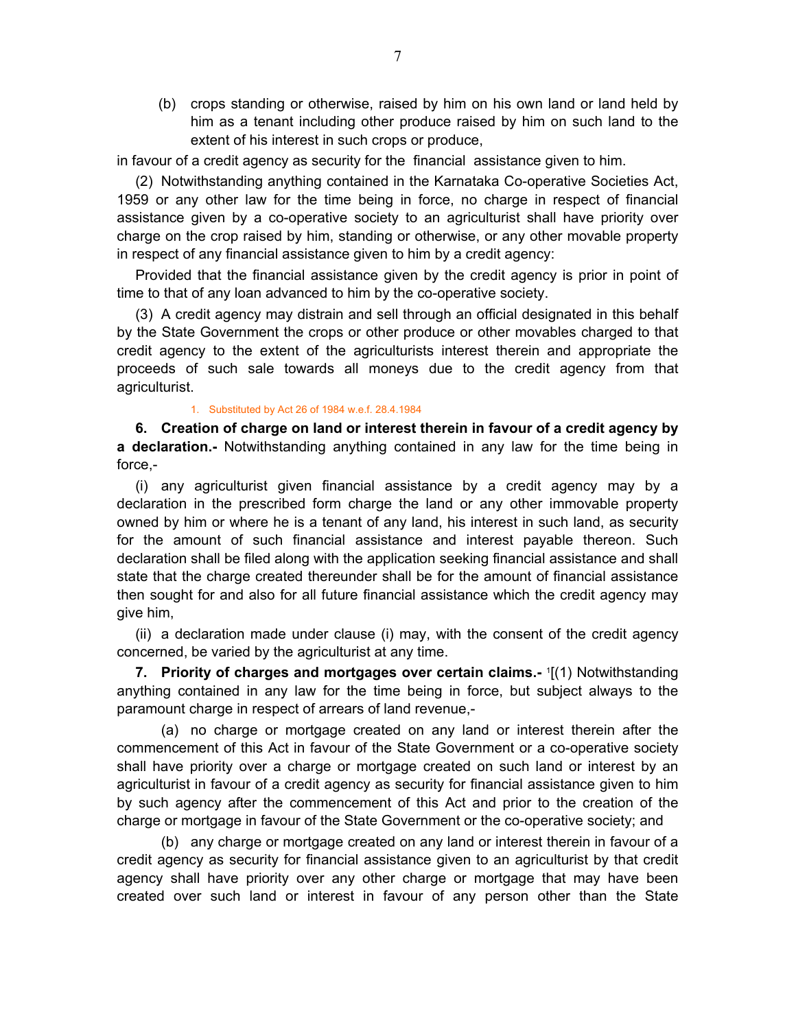<span id="page-6-0"></span> (b) crops standing or otherwise, raised by him on his own land or land held by him as a tenant including other produce raised by him on such land to the extent of his interest in such crops or produce,

in favour of a credit agency as security for the financial assistance given to him.

 (2) Notwithstanding anything contained in the Karnataka Co-operative Societies Act, 1959 or any other law for the time being in force, no charge in respect of financial assistance given by a co-operative society to an agriculturist shall have priority over charge on the crop raised by him, standing or otherwise, or any other movable property in respect of any financial assistance given to him by a credit agency:

 Provided that the financial assistance given by the credit agency is prior in point of time to that of any loan advanced to him by the co-operative society.

 (3) A credit agency may distrain and sell through an official designated in this behalf by the State Government the crops or other produce or other movables charged to that credit agency to the extent of the agriculturists interest therein and appropriate the proceeds of such sale towards all moneys due to the credit agency from that agriculturist.

#### 1. Substituted by Act 26 of 1984 w.e.f. 28.4.1984

**6. Creation of charge on land or interest therein in favour of a credit agency by a declaration.-** Notwithstanding anything contained in any law for the time being in force,-

 (i) any agriculturist given financial assistance by a credit agency may by a declaration in the prescribed form charge the land or any other immovable property owned by him or where he is a tenant of any land, his interest in such land, as security for the amount of such financial assistance and interest payable thereon. Such declaration shall be filed along with the application seeking financial assistance and shall state that the charge created thereunder shall be for the amount of financial assistance then sought for and also for all future financial assistance which the credit agency may give him,

 (ii) a declaration made under clause (i) may, with the consent of the credit agency concerned, be varied by the agriculturist at any time.

**7. Priority of charges and mortgages over certain claims.-** <sup>1</sup> [(1) Notwithstanding anything contained in any law for the time being in force, but subject always to the paramount charge in respect of arrears of land revenue,-

 (a) no charge or mortgage created on any land or interest therein after the commencement of this Act in favour of the State Government or a co-operative society shall have priority over a charge or mortgage created on such land or interest by an agriculturist in favour of a credit agency as security for financial assistance given to him by such agency after the commencement of this Act and prior to the creation of the charge or mortgage in favour of the State Government or the co-operative society; and

 (b) any charge or mortgage created on any land or interest therein in favour of a credit agency as security for financial assistance given to an agriculturist by that credit agency shall have priority over any other charge or mortgage that may have been created over such land or interest in favour of any person other than the State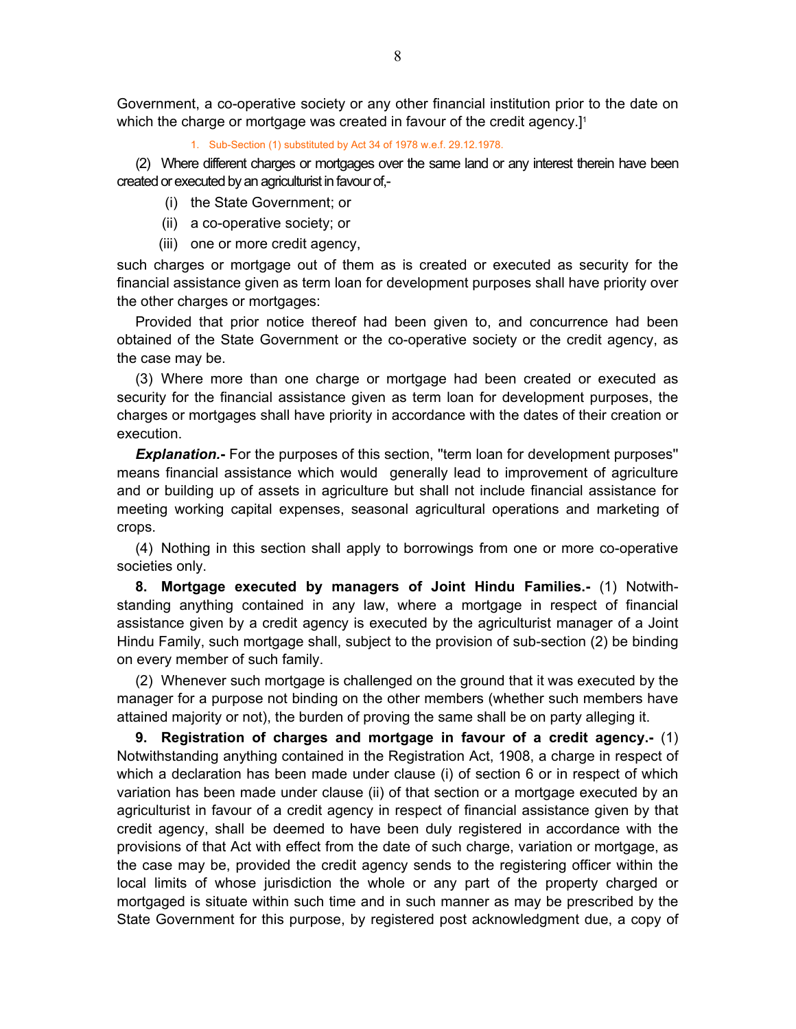<span id="page-7-0"></span>Government, a co-operative society or any other financial institution prior to the date on which the charge or mortgage was created in favour of the credit agency.]<sup>1</sup>

1. Sub-Section (1) substituted by Act 34 of 1978 w.e.f. 29.12.1978.

 (2) Where different charges or mortgages over the same land or any interest therein have been created or executed by an agriculturist in favour of,-

- (i) the State Government; or
- (ii) a co-operative society; or
- (iii) one or more credit agency,

such charges or mortgage out of them as is created or executed as security for the financial assistance given as term loan for development purposes shall have priority over the other charges or mortgages:

 Provided that prior notice thereof had been given to, and concurrence had been obtained of the State Government or the co-operative society or the credit agency, as the case may be.

 (3) Where more than one charge or mortgage had been created or executed as security for the financial assistance given as term loan for development purposes, the charges or mortgages shall have priority in accordance with the dates of their creation or execution.

**Explanation.** For the purposes of this section, "term loan for development purposes" means financial assistance which would generally lead to improvement of agriculture and or building up of assets in agriculture but shall not include financial assistance for meeting working capital expenses, seasonal agricultural operations and marketing of crops.

 (4) Nothing in this section shall apply to borrowings from one or more co-operative societies only.

 **8. Mortgage executed by managers of Joint Hindu Families.-** (1) Notwithstanding anything contained in any law, where a mortgage in respect of financial assistance given by a credit agency is executed by the agriculturist manager of a Joint Hindu Family, such mortgage shall, subject to the provision of sub-section (2) be binding on every member of such family.

 (2) Whenever such mortgage is challenged on the ground that it was executed by the manager for a purpose not binding on the other members (whether such members have attained majority or not), the burden of proving the same shall be on party alleging it.

 **9. Registration of charges and mortgage in favour of a credit agency.-** (1) Notwithstanding anything contained in the Registration Act, 1908, a charge in respect of which a declaration has been made under clause (i) of section 6 or in respect of which variation has been made under clause (ii) of that section or a mortgage executed by an agriculturist in favour of a credit agency in respect of financial assistance given by that credit agency, shall be deemed to have been duly registered in accordance with the provisions of that Act with effect from the date of such charge, variation or mortgage, as the case may be, provided the credit agency sends to the registering officer within the local limits of whose jurisdiction the whole or any part of the property charged or mortgaged is situate within such time and in such manner as may be prescribed by the State Government for this purpose, by registered post acknowledgment due, a copy of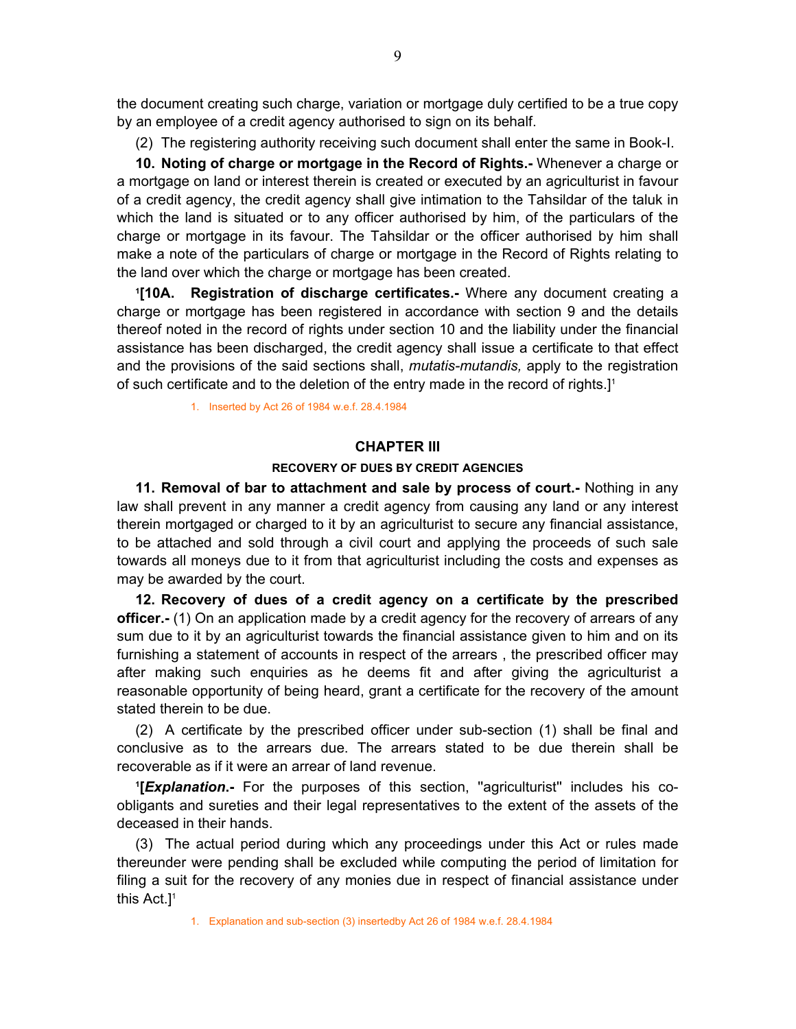<span id="page-8-0"></span>the document creating such charge, variation or mortgage duly certified to be a true copy by an employee of a credit agency authorised to sign on its behalf.

(2) The registering authority receiving such document shall enter the same in Book-I.

 **10. Noting of charge or mortgage in the Record of Rights.-** Whenever a charge or a mortgage on land or interest therein is created or executed by an agriculturist in favour of a credit agency, the credit agency shall give intimation to the Tahsildar of the taluk in which the land is situated or to any officer authorised by him, of the particulars of the charge or mortgage in its favour. The Tahsildar or the officer authorised by him shall make a note of the particulars of charge or mortgage in the Record of Rights relating to the land over which the charge or mortgage has been created.

 **1[10A. Registration of discharge certificates.-** Where any document creating a charge or mortgage has been registered in accordance with section 9 and the details thereof noted in the record of rights under section 10 and the liability under the financial assistance has been discharged, the credit agency shall issue a certificate to that effect and the provisions of the said sections shall, *mutatis-mutandis,* apply to the registration of such certificate and to the deletion of the entry made in the record of rights.]1

1. Inserted by Act 26 of 1984 w.e.f. 28.4.1984

#### **CHAPTER III**

#### **RECOVERY OF DUES BY CREDIT AGENCIES**

**11. Removal of bar to attachment and sale by process of court.-** Nothing in any law shall prevent in any manner a credit agency from causing any land or any interest therein mortgaged or charged to it by an agriculturist to secure any financial assistance, to be attached and sold through a civil court and applying the proceeds of such sale towards all moneys due to it from that agriculturist including the costs and expenses as may be awarded by the court.

 **12. Recovery of dues of a credit agency on a certificate by the prescribed officer.-** (1) On an application made by a credit agency for the recovery of arrears of any sum due to it by an agriculturist towards the financial assistance given to him and on its furnishing a statement of accounts in respect of the arrears , the prescribed officer may after making such enquiries as he deems fit and after giving the agriculturist a reasonable opportunity of being heard, grant a certificate for the recovery of the amount stated therein to be due.

 (2) A certificate by the prescribed officer under sub-section (1) shall be final and conclusive as to the arrears due. The arrears stated to be due therein shall be recoverable as if it were an arrear of land revenue.

**1 [***Explanation***.-** For the purposes of this section, ''agriculturist'' includes his coobligants and sureties and their legal representatives to the extent of the assets of the deceased in their hands.

 (3) The actual period during which any proceedings under this Act or rules made thereunder were pending shall be excluded while computing the period of limitation for filing a suit for the recovery of any monies due in respect of financial assistance under this Act.]1

1. Explanation and sub-section (3) insertedby Act 26 of 1984 w.e.f. 28.4.1984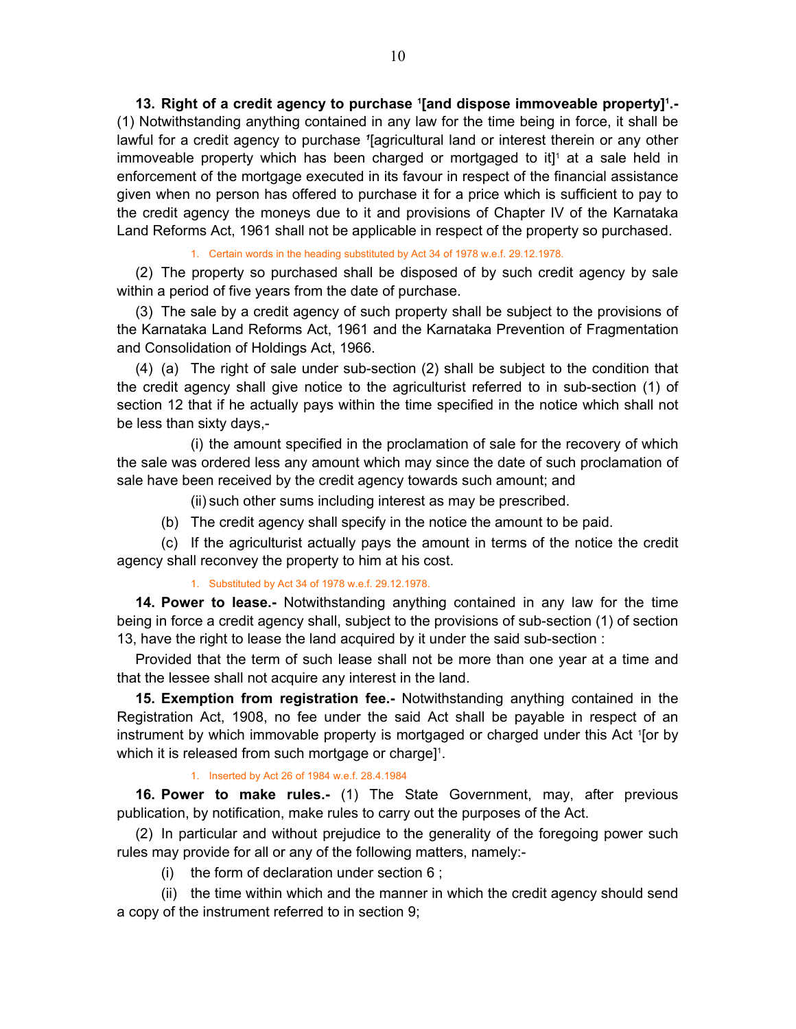<span id="page-9-0"></span>13. Right of a credit agency to purchase '[and dispose immoveable property]<sup>1</sup>.-(1) Notwithstanding anything contained in any law for the time being in force, it shall be lawful for a credit agency to purchase <sup>1</sup> [agricultural land or interest therein or any other immoveable property which has been charged or mortgaged to it $]$ <sup>1</sup> at a sale held in enforcement of the mortgage executed in its favour in respect of the financial assistance given when no person has offered to purchase it for a price which is sufficient to pay to the credit agency the moneys due to it and provisions of Chapter IV of the Karnataka Land Reforms Act, 1961 shall not be applicable in respect of the property so purchased.

#### 1. Certain words in the heading substituted by Act 34 of 1978 w.e.f. 29.12.1978.

 (2) The property so purchased shall be disposed of by such credit agency by sale within a period of five years from the date of purchase.

 (3) The sale by a credit agency of such property shall be subject to the provisions of the Karnataka Land Reforms Act, 1961 and the Karnataka Prevention of Fragmentation and Consolidation of Holdings Act, 1966.

 (4) (a) The right of sale under sub-section (2) shall be subject to the condition that the credit agency shall give notice to the agriculturist referred to in sub-section (1) of section 12 that if he actually pays within the time specified in the notice which shall not be less than sixty days,-

 (i) the amount specified in the proclamation of sale for the recovery of which the sale was ordered less any amount which may since the date of such proclamation of sale have been received by the credit agency towards such amount; and

(ii) such other sums including interest as may be prescribed.

(b) The credit agency shall specify in the notice the amount to be paid.

 (c) If the agriculturist actually pays the amount in terms of the notice the credit agency shall reconvey the property to him at his cost.

#### 1. Substituted by Act 34 of 1978 w.e.f. 29.12.1978.

**14. Power to lease.-** Notwithstanding anything contained in any law for the time being in force a credit agency shall, subject to the provisions of sub-section (1) of section 13, have the right to lease the land acquired by it under the said sub-section :

 Provided that the term of such lease shall not be more than one year at a time and that the lessee shall not acquire any interest in the land.

 **15. Exemption from registration fee.-** Notwithstanding anything contained in the Registration Act, 1908, no fee under the said Act shall be payable in respect of an instrument by which immovable property is mortgaged or charged under this Act 1 [or by which it is released from such mortgage or charge]<sup>1</sup>.

#### 1. Inserted by Act 26 of 1984 w.e.f. 28.4.1984

**16. Power to make rules.-** (1) The State Government, may, after previous publication, by notification, make rules to carry out the purposes of the Act.

 (2) In particular and without prejudice to the generality of the foregoing power such rules may provide for all or any of the following matters, namely:-

(i) the form of declaration under section 6 ;

 (ii) the time within which and the manner in which the credit agency should send a copy of the instrument referred to in section 9;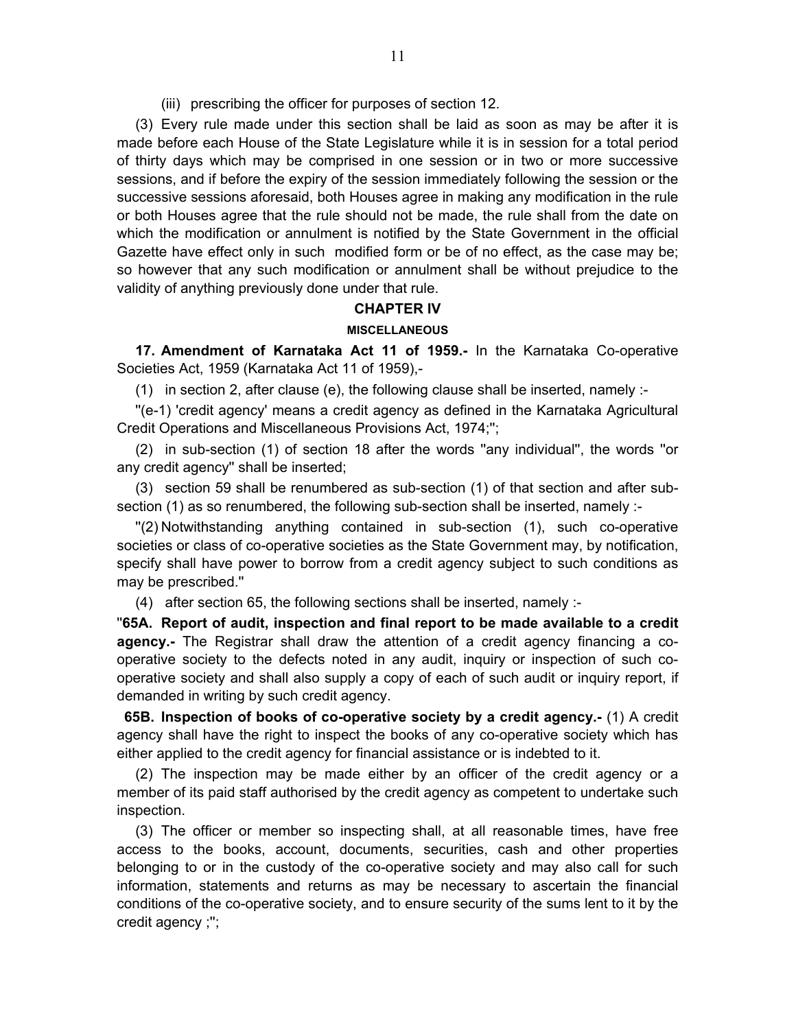(iii) prescribing the officer for purposes of section 12.

<span id="page-10-0"></span> (3) Every rule made under this section shall be laid as soon as may be after it is made before each House of the State Legislature while it is in session for a total period of thirty days which may be comprised in one session or in two or more successive sessions, and if before the expiry of the session immediately following the session or the successive sessions aforesaid, both Houses agree in making any modification in the rule or both Houses agree that the rule should not be made, the rule shall from the date on which the modification or annulment is notified by the State Government in the official Gazette have effect only in such modified form or be of no effect, as the case may be; so however that any such modification or annulment shall be without prejudice to the validity of anything previously done under that rule.

### **CHAPTER IV**

#### **MISCELLANEOUS**

**17. Amendment of Karnataka Act 11 of 1959.-** In the Karnataka Co-operative Societies Act, 1959 (Karnataka Act 11 of 1959),-

(1) in section 2, after clause (e), the following clause shall be inserted, namely :-

 ''(e-1) 'credit agency' means a credit agency as defined in the Karnataka Agricultural Credit Operations and Miscellaneous Provisions Act, 1974;'';

 (2) in sub-section (1) of section 18 after the words ''any individual'', the words ''or any credit agency'' shall be inserted;

 (3) section 59 shall be renumbered as sub-section (1) of that section and after subsection (1) as so renumbered, the following sub-section shall be inserted, namely :-

"(2) Notwithstanding anything contained in sub-section (1), such co-operative societies or class of co-operative societies as the State Government may, by notification, specify shall have power to borrow from a credit agency subject to such conditions as may be prescribed.''

(4) after section 65, the following sections shall be inserted, namely :-

''**65A. Report of audit, inspection and final report to be made available to a credit agency.-** The Registrar shall draw the attention of a credit agency financing a cooperative society to the defects noted in any audit, inquiry or inspection of such cooperative society and shall also supply a copy of each of such audit or inquiry report, if demanded in writing by such credit agency.

**65B. Inspection of books of co-operative society by a credit agency.-** (1) A credit agency shall have the right to inspect the books of any co-operative society which has either applied to the credit agency for financial assistance or is indebted to it.

 (2) The inspection may be made either by an officer of the credit agency or a member of its paid staff authorised by the credit agency as competent to undertake such inspection.

 (3) The officer or member so inspecting shall, at all reasonable times, have free access to the books, account, documents, securities, cash and other properties belonging to or in the custody of the co-operative society and may also call for such information, statements and returns as may be necessary to ascertain the financial conditions of the co-operative society, and to ensure security of the sums lent to it by the credit agency ;'';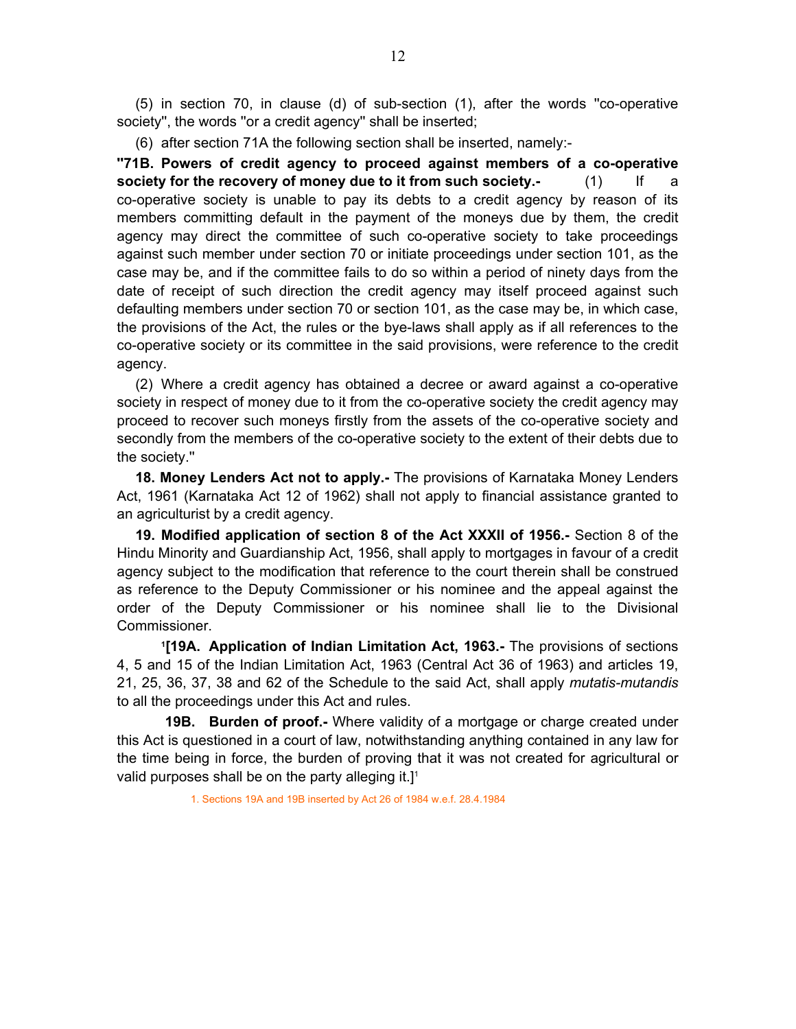<span id="page-11-0"></span> (5) in section 70, in clause (d) of sub-section (1), after the words ''co-operative society'', the words ''or a credit agency'' shall be inserted;

(6) after section 71A the following section shall be inserted, namely:-

**''71B. Powers of credit agency to proceed against members of a co-operative society for the recovery of money due to it from such society.** (1) If co-operative society is unable to pay its debts to a credit agency by reason of its members committing default in the payment of the moneys due by them, the credit agency may direct the committee of such co-operative society to take proceedings against such member under section 70 or initiate proceedings under section 101, as the case may be, and if the committee fails to do so within a period of ninety days from the date of receipt of such direction the credit agency may itself proceed against such defaulting members under section 70 or section 101, as the case may be, in which case, the provisions of the Act, the rules or the bye-laws shall apply as if all references to the co-operative society or its committee in the said provisions, were reference to the credit agency.

 (2) Where a credit agency has obtained a decree or award against a co-operative society in respect of money due to it from the co-operative society the credit agency may proceed to recover such moneys firstly from the assets of the co-operative society and secondly from the members of the co-operative society to the extent of their debts due to the society.''

 **18. Money Lenders Act not to apply.-** The provisions of Karnataka Money Lenders Act, 1961 (Karnataka Act 12 of 1962) shall not apply to financial assistance granted to an agriculturist by a credit agency.

**19. Modified application of section 8 of the Act XXXII of 1956.-** Section 8 of the Hindu Minority and Guardianship Act, 1956, shall apply to mortgages in favour of a credit agency subject to the modification that reference to the court therein shall be construed as reference to the Deputy Commissioner or his nominee and the appeal against the order of the Deputy Commissioner or his nominee shall lie to the Divisional Commissioner.

 **1[19A. Application of Indian Limitation Act, 1963.-** The provisions of sections 4, 5 and 15 of the Indian Limitation Act, 1963 (Central Act 36 of 1963) and articles 19, 21, 25, 36, 37, 38 and 62 of the Schedule to the said Act, shall apply *mutatis-mutandis*  to all the proceedings under this Act and rules.

 **19B. Burden of proof.-** Where validity of a mortgage or charge created under this Act is questioned in a court of law, notwithstanding anything contained in any law for the time being in force, the burden of proving that it was not created for agricultural or valid purposes shall be on the party alleging it.] $1$ 

1. Sections 19A and 19B inserted by Act 26 of 1984 w.e.f. 28.4.1984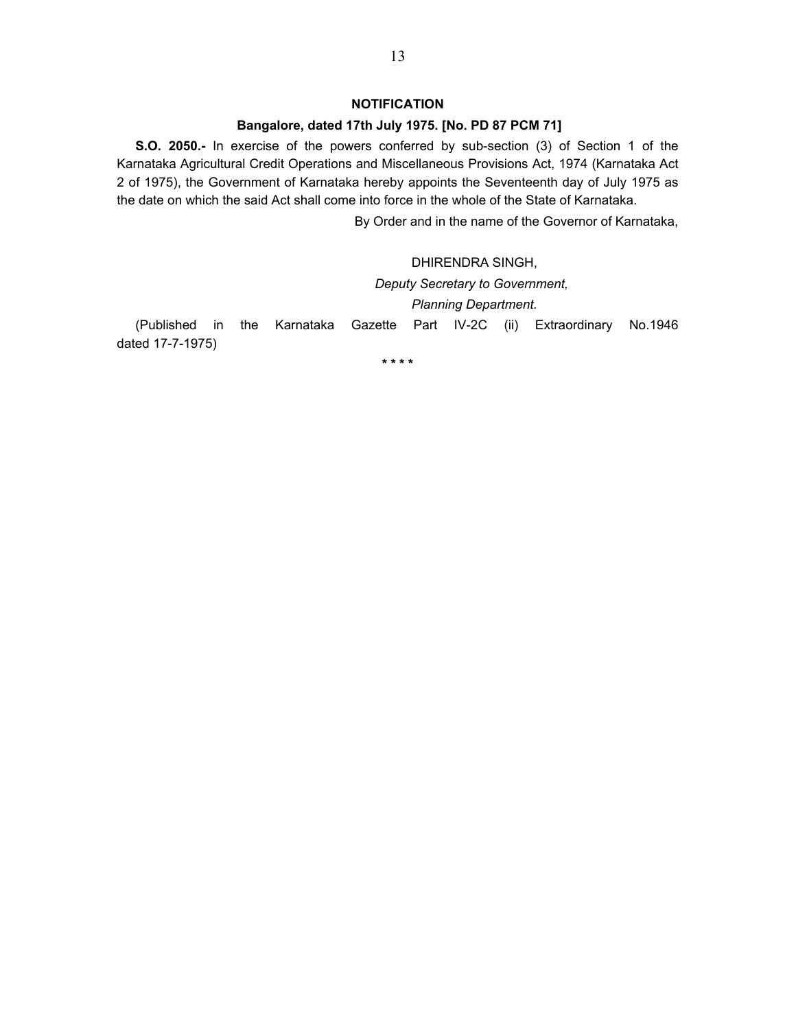### **NOTIFICATION**

## **Bangalore, dated 17th July 1975. [No. PD 87 PCM 71]**

 **S.O. 2050.-** In exercise of the powers conferred by sub-section (3) of Section 1 of the Karnataka Agricultural Credit Operations and Miscellaneous Provisions Act, 1974 (Karnataka Act 2 of 1975), the Government of Karnataka hereby appoints the Seventeenth day of July 1975 as the date on which the said Act shall come into force in the whole of the State of Karnataka.

By Order and in the name of the Governor of Karnataka,

 DHIRENDRA SINGH, *Deputy Secretary to Government, Planning Department.*  (Published in the Karnataka Gazette Part IV-2C (ii) Extraordinary No.1946 dated 17-7-1975)

**\* \* \* \***